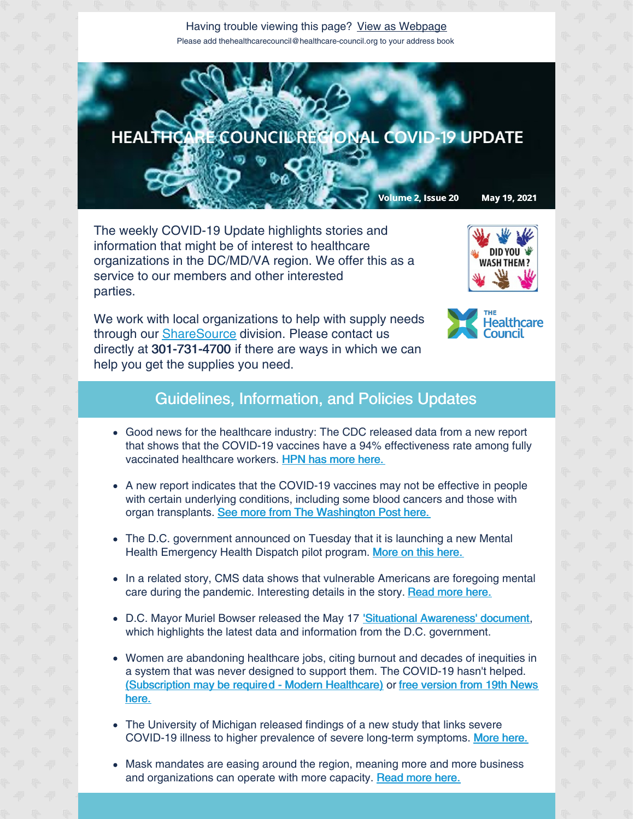Having trouble viewing this page? View as [Webpage](http://campaign.r20.constantcontact.com/render?ca=664d617e-3439-4426-a65f-7ad39d52a389&preview=true&m=1135298390468&id=preview) Please add thehealthcarecouncil@healthcare-council.org to your address book



The weekly COVID-19 Update highlights stories and information that might be of interest to healthcare organizations in the DC/MD/VA region. We offer this as a service to our members and other interested parties.

We work with local organizations to help with supply needs through our **[ShareSource](https://www.share-source.org/)** division. Please contact us directly at 301-731-4700 if there are ways in which we can help you get the supplies you need.





## Guidelines, Information, and Policies Updates

- Good news for the healthcare industry: The CDC released data from a new report that shows that the COVID-19 vaccines have a 94% effectiveness rate among fully vaccinated healthcare workers. HPN has more [here.](https://www.hpnonline.com/infection-prevention/screeningsurveillance/article/21223043/covid19-mrna-vaccines-show-94-effectiveness-for-healthcareworkers?utm_source=HPN+Daily+Newsletter&utm_medium=email&utm_campaign=CPS2105 17054&o_eid=8887J6354667A2S&rdx.ident=%5Bobject+Object%5D&oly_enc_id=8887J635 4667A2S)
- A new report indicates that the COVID-19 vaccines may not be effective in people with certain underlying conditions, including some blood cancers and those with organ transplants. See more from The [Washington](https://www.washingtonpost.com/health/2021/05/18/immunocompromised-coronavirus-vaccines-response/) Post here.
- The D.C. government announced on Tuesday that it is launching a new Mental Health Emergency Health Dispatch pilot program. More on this [here.](https://mayor.dc.gov/release/mayor-bowser-launching-new-mental-health-emergency-dispatch-pilot-program)
- In a related story, CMS data shows that vulnerable Americans are foregoing mental care during the pandemic. Interesting details in the story. [Read](https://content.govdelivery.com/accounts/USCMSMEDICAID/bulletins/2d93966) more here.
- D.C. Mayor Muriel Bowser released the May 17 'Situational [Awareness'](https://mcusercontent.com/67e7a773996f97d87b3be7633/files/10df1da1-47ca-be13-ef60-ecbd87da4d2f/Situational_Update_Presentation_05_17_2021.pdf) document, which highlights the latest data and information from the D.C. government.
- Women are abandoning healthcare jobs, citing burnout and decades of inequities in a system that was never designed to support them. The COVID-19 hasn't helped. [\(Subscription](https://19thnews.org/2021/05/women-health-care-leaving-breaking-point/) may be require[d](https://www.modernhealthcare.com/labor/women-healthcare-are-breaking-point-and-theyre-leaving?utm_source=modern-healthcare-covid-19-coverage&utm_medium=email&utm_campaign=20210518&utm_content=article5-readmore) - Modern [Healthcare\)](https://www.modernhealthcare.com/labor/women-healthcare-are-breaking-point-and-theyre-leaving?utm_source=modern-healthcare-covid-19-coverage&utm_medium=email&utm_campaign=20210518&utm_content=article5-readmore) or free version from 19th News here.
- The University of Michigan released findings of a new study that links severe COVID-19 illness to higher prevalence of severe long-term symptoms. [More](https://www.hpnonline.com/surgical-critical-care/article/21223251/severe-covid19-is-possibly-connected-to-longhaul-symptoms?utm_source=HPN+Daily+Newsletter&utm_medium=email&utm_campaign=CPS21+0517098&o_eid=8887J6354667A2S&rdx.ident=%5Bobject+Object%5D&oly_enc_id=8887J6+354667A2S) here.
- Mask mandates are easing around the region, meaning more and more business and organizations can operate with more capacity. [Read](https://www.washingtonpost.com/local/mask-mandate-lifted-in-montgomery-county-for-fully-vaccinated-people/2021/05/18/9bedab7c-b7fe-11eb-a6b1-81296da0339b_story.html) more here.